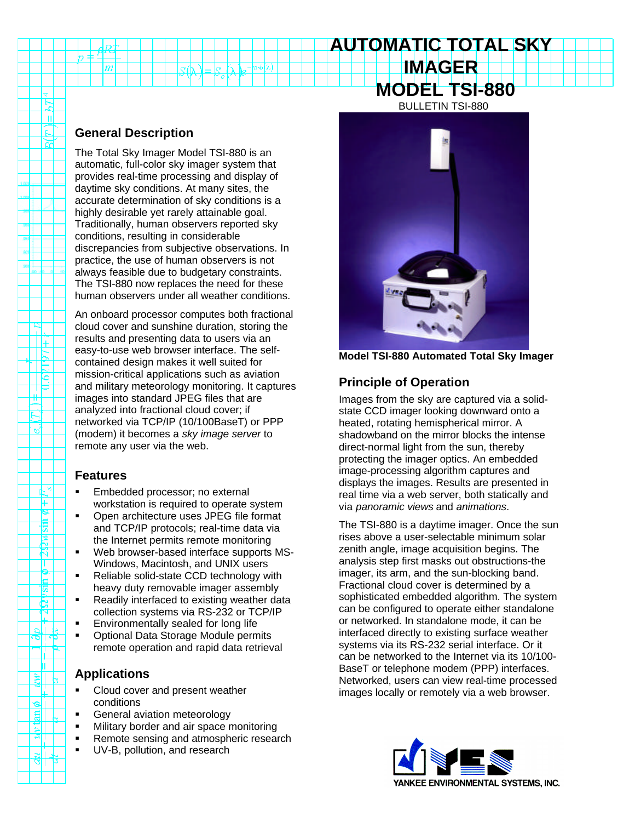# **IMAGER MODEL TSI-880** BULLETIN TSI-880

**AUTOMATIC TOTAL SKY**

## **General Description**

 $\overline{m}$ 

È ΠI € न्न

16

'ಲ್

╓╀<sub>∺</sub> F ⊵ 园 È. ম Π  $\sum_{i=1}^{\infty}$ 氝 ਨ

≋l

2

 $a_{\rm II}$ 

 $\Theta$ 

The Total Sky Imager Model TSI-880 is an automatic, full-color sky imager system that provides real-time processing and display of daytime sky conditions. At many sites, the accurate determination of sky conditions is a highly desirable yet rarely attainable goal. Traditionally, human observers reported sky conditions, resulting in considerable discrepancies from subjective observations. In practice, the use of human observers is not always feasible due to budgetary constraints. The TSI-880 now replaces the need for these human observers under all weather conditions.

An onboard processor computes both fractional cloud cover and sunshine duration, storing the results and presenting data to users via an easy-to-use web browser interface. The selfcontained design makes it well suited for mission-critical applications such as aviation and military meteorology monitoring. It captures images into standard JPEG files that are analyzed into fractional cloud cover; if networked via TCP/IP (10/100BaseT) or PPP (modem) it becomes a *sky image server* to remote any user via the web.

### **Features**

- **Embedded processor; no external** workstation is required to operate system
- ß Open architecture uses JPEG file format and TCP/IP protocols; real-time data via the Internet permits remote monitoring
- Web browser-based interface supports MS-Windows, Macintosh, and UNIX users
- ß Reliable solid-state CCD technology with heavy duty removable imager assembly
- ß Readily interfaced to existing weather data collection systems via RS-232 or TCP/IP
- ß Environmentally sealed for long life
- ß Optional Data Storage Module permits remote operation and rapid data retrieval

## **Applications**

- ß Cloud cover and present weather conditions
- ß General aviation meteorology
- ß Military border and air space monitoring
- ß Remote sensing and atmospheric research
- UV-B, pollution, and research



**Model TSI-880 Automated Total Sky Imager**

## **Principle of Operation**

Images from the sky are captured via a solidstate CCD imager looking downward onto a heated, rotating hemispherical mirror. A shadowband on the mirror blocks the intense direct-normal light from the sun, thereby protecting the imager optics. An embedded image-processing algorithm captures and displays the images. Results are presented in real time via a web server, both statically and via *panoramic views* and *animations*.

The TSI-880 is a daytime imager. Once the sun rises above a user-selectable minimum solar zenith angle, image acquisition begins. The analysis step first masks out obstructions-the imager, its arm, and the sun-blocking band. Fractional cloud cover is determined by a sophisticated embedded algorithm. The system can be configured to operate either standalone or networked. In standalone mode, it can be interfaced directly to existing surface weather systems via its RS-232 serial interface. Or it can be networked to the Internet via its 10/100- BaseT or telephone modem (PPP) interfaces. Networked, users can view real-time processed images locally or remotely via a web browser.

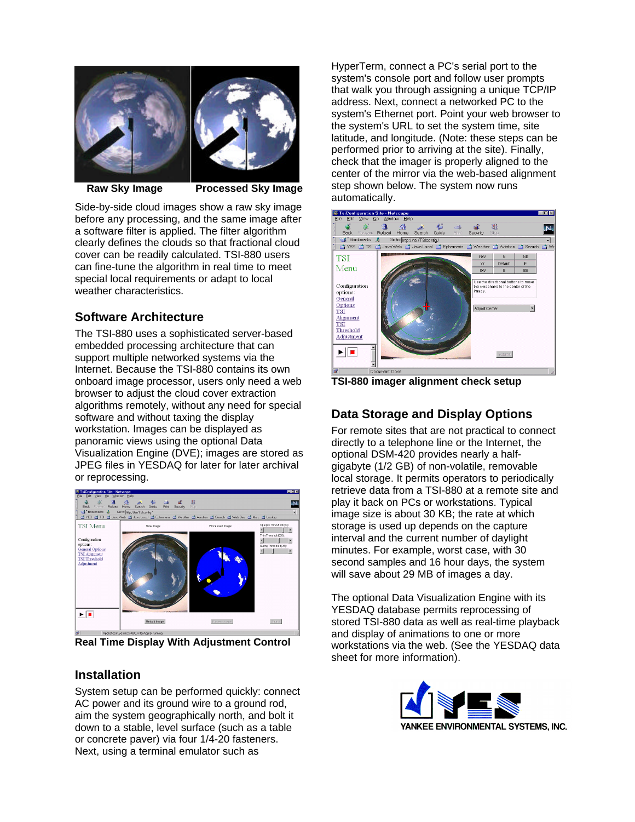

 **Raw Sky Image Processed Sky Image**

Side-by-side cloud images show a raw sky image before any processing, and the same image after a software filter is applied. The filter algorithm clearly defines the clouds so that fractional cloud cover can be readily calculated. TSI-880 users can fine-tune the algorithm in real time to meet special local requirements or adapt to local weather characteristics.

## **Software Architecture**

The TSI-880 uses a sophisticated server-based embedded processing architecture that can support multiple networked systems via the Internet. Because the TSI-880 contains its own onboard image processor, users only need a web browser to adjust the cloud cover extraction algorithms remotely, without any need for special software and without taxing the display workstation. Images can be displayed as panoramic views using the optional Data Visualization Engine (DVE); images are stored as JPEG files in YESDAQ for later for later archival or reprocessing.



**Real Time Display With Adjustment Control**

## **Installation**

System setup can be performed quickly: connect AC power and its ground wire to a ground rod, aim the system geographically north, and bolt it down to a stable, level surface (such as a table or concrete paver) via four 1/4-20 fasteners. Next, using a terminal emulator such as

HyperTerm, connect a PC's serial port to the system's console port and follow user prompts that walk you through assigning a unique TCP/IP address. Next, connect a networked PC to the system's Ethernet port. Point your web browser to the system's URL to set the system time, site latitude, and longitude. (Note: these steps can be performed prior to arriving at the site). Finally, check that the imager is properly aligned to the center of the mirror via the web-based alignment step shown below. The system now runs automatically.



**TSI-880 imager alignment check setup**

## **Data Storage and Display Options**

For remote sites that are not practical to connect directly to a telephone line or the Internet, the optional DSM-420 provides nearly a halfgigabyte (1/2 GB) of non-volatile, removable local storage. It permits operators to periodically retrieve data from a TSI-880 at a remote site and play it back on PCs or workstations. Typical image size is about 30 KB; the rate at which storage is used up depends on the capture interval and the current number of daylight minutes. For example, worst case, with 30 second samples and 16 hour days, the system will save about 29 MB of images a day.

The optional Data Visualization Engine with its YESDAQ database permits reprocessing of stored TSI-880 data as well as real-time playback and display of animations to one or more workstations via the web. (See the YESDAQ data sheet for more information).

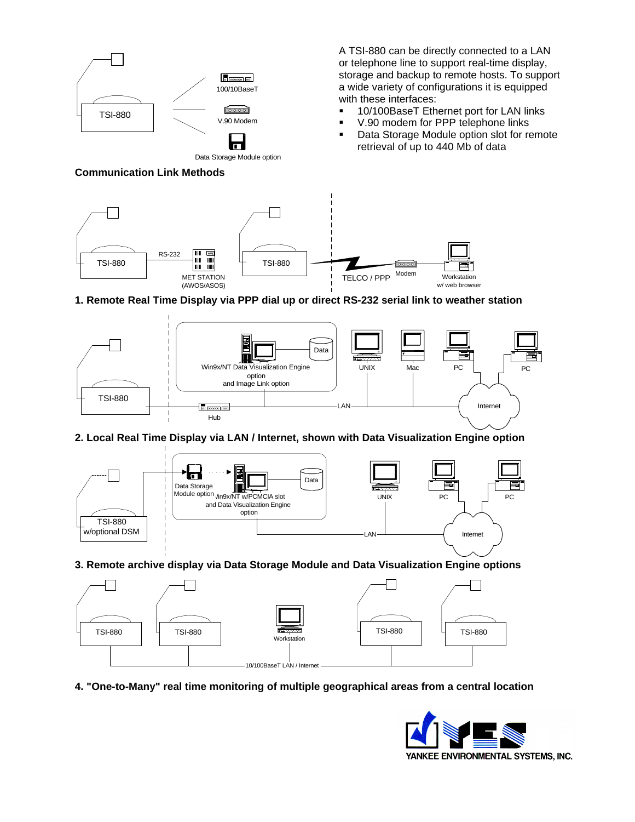

Data Storage Module option

**Communication Link Methods**

A TSI-880 can be directly connected to a LAN or telephone line to support real-time display, storage and backup to remote hosts. To support a wide variety of configurations it is equipped with these interfaces:

- **10/100BaseT Ethernet port for LAN links**
- ß V.90 modem for PPP telephone links
- ß Data Storage Module option slot for remote retrieval of up to 440 Mb of data



#### **1. Remote Real Time Display via PPP dial up or direct RS-232 serial link to weather station**



#### **2. Local Real Time Display via LAN / Internet, shown with Data Visualization Engine option**



### **3. Remote archive display via Data Storage Module and Data Visualization Engine options**



**4. "One-to-Many" real time monitoring of multiple geographical areas from a central location**